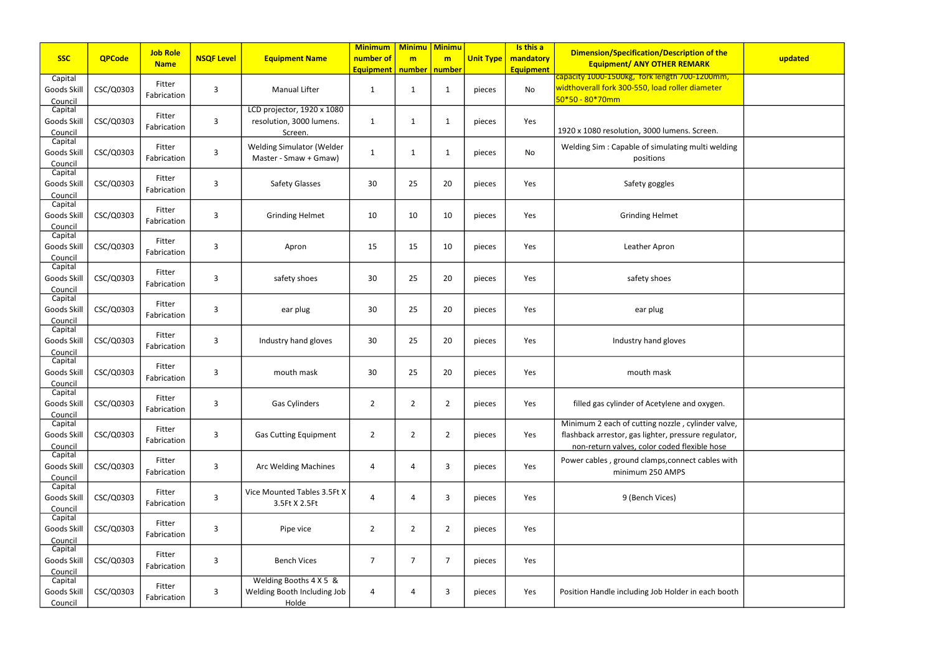| <b>SSC</b>                        | <b>QPCode</b> | <b>Job Role</b><br><b>Name</b> | <b>NSQF Level</b> | <b>Equipment Name</b>                                             | <b>Minimum</b><br>number of | <b>Minimu Minimu</b><br>m | m              | <b>Unit Type</b> | Is this a<br>mandatory | <b>Dimension/Specification/Description of the</b><br><b>Equipment/ ANY OTHER REMARK</b>                                                                   | updated |
|-----------------------------------|---------------|--------------------------------|-------------------|-------------------------------------------------------------------|-----------------------------|---------------------------|----------------|------------------|------------------------|-----------------------------------------------------------------------------------------------------------------------------------------------------------|---------|
|                                   |               |                                |                   |                                                                   | <b>Equipment</b>            | number   number           |                |                  | <b>Equipment</b>       | capacity 1000-1500kg, fork length 700-1200mm,                                                                                                             |         |
| Capital<br>Goods Skill<br>Council | CSC/Q0303     | Fitter<br>Fabrication          | $\overline{3}$    | <b>Manual Lifter</b>                                              | 1                           | $\mathbf{1}$              | 1              | pieces           | No                     | widthoverall fork 300-550, load roller diameter<br>$50*50 - 80*70mm$                                                                                      |         |
| Capital<br>Goods Skill<br>Council | CSC/Q0303     | Fitter<br>Fabrication          | $\overline{3}$    | LCD projector, 1920 x 1080<br>resolution, 3000 lumens.<br>Screen. | 1                           | $\mathbf{1}$              | 1              | pieces           | Yes                    | 1920 x 1080 resolution, 3000 lumens. Screen.                                                                                                              |         |
| Capital<br>Goods Skill<br>Council | CSC/Q0303     | Fitter<br>Fabrication          | $\overline{3}$    | Welding Simulator (Welder<br>Master - Smaw + Gmaw)                | $\mathbf 1$                 | $\mathbf{1}$              | 1              | pieces           | No                     | Welding Sim: Capable of simulating multi welding<br>positions                                                                                             |         |
| Capital<br>Goods Skill<br>Council | CSC/Q0303     | Fitter<br>Fabrication          | $\overline{3}$    | <b>Safety Glasses</b>                                             | 30                          | 25                        | 20             | pieces           | Yes                    | Safety goggles                                                                                                                                            |         |
| Capital<br>Goods Skill<br>Council | CSC/Q0303     | Fitter<br>Fabrication          | $\overline{3}$    | <b>Grinding Helmet</b>                                            | 10                          | 10                        | 10             | pieces           | Yes                    | <b>Grinding Helmet</b>                                                                                                                                    |         |
| Capital<br>Goods Skill<br>Council | CSC/Q0303     | Fitter<br>Fabrication          | $\overline{3}$    | Apron                                                             | 15                          | 15                        | 10             | pieces           | Yes                    | Leather Apron                                                                                                                                             |         |
| Capital<br>Goods Skill<br>Council | CSC/Q0303     | Fitter<br>Fabrication          | $\overline{3}$    | safety shoes                                                      | 30                          | 25                        | 20             | pieces           | Yes                    | safety shoes                                                                                                                                              |         |
| Capital<br>Goods Skill<br>Council | CSC/Q0303     | Fitter<br>Fabrication          | $\overline{3}$    | ear plug                                                          | 30                          | 25                        | 20             | pieces           | Yes                    | ear plug                                                                                                                                                  |         |
| Capital<br>Goods Skill<br>Council | CSC/Q0303     | Fitter<br>Fabrication          | $\overline{3}$    | Industry hand gloves                                              | 30                          | 25                        | 20             | pieces           | Yes                    | Industry hand gloves                                                                                                                                      |         |
| Capital<br>Goods Skill<br>Council | CSC/Q0303     | Fitter<br>Fabrication          | $\overline{3}$    | mouth mask                                                        | 30                          | 25                        | 20             | pieces           | Yes                    | mouth mask                                                                                                                                                |         |
| Capital<br>Goods Skill<br>Council | CSC/Q0303     | Fitter<br>Fabrication          | $\overline{3}$    | Gas Cylinders                                                     | $\overline{2}$              | $\overline{2}$            | $\overline{2}$ | pieces           | Yes                    | filled gas cylinder of Acetylene and oxygen.                                                                                                              |         |
| Capital<br>Goods Skill<br>Council | CSC/Q0303     | Fitter<br>Fabrication          | $\overline{3}$    | <b>Gas Cutting Equipment</b>                                      | $\overline{2}$              | $\overline{2}$            | 2              | pieces           | Yes                    | Minimum 2 each of cutting nozzle, cylinder valve,<br>flashback arrestor, gas lighter, pressure regulator,<br>non-return valves, color coded flexible hose |         |
| Capital<br>Goods Skill<br>Council | CSC/Q0303     | Fitter<br>Fabrication          | $\overline{3}$    | <b>Arc Welding Machines</b>                                       | 4                           | 4                         | 3              | pieces           | Yes                    | Power cables, ground clamps, connect cables with<br>minimum 250 AMPS                                                                                      |         |
| Capital<br>Goods Skill<br>Council | CSC/Q0303     | Fitter<br>Fabrication          | $\mathbf{3}$      | Vice Mounted Tables 3.5Ft X<br>3.5Ft X 2.5Ft                      | 4                           | 4                         | 3              | pieces           | Yes                    | 9 (Bench Vices)                                                                                                                                           |         |
| Capital<br>Goods Skill<br>Council | CSC/Q0303     | Fitter<br>Fabrication          | $\overline{3}$    | Pipe vice                                                         | $\overline{2}$              | $\overline{2}$            | 2              | pieces           | Yes                    |                                                                                                                                                           |         |
| Capital<br>Goods Skill<br>Council | CSC/Q0303     | Fitter<br>Fabrication          | $\overline{3}$    | <b>Bench Vices</b>                                                | 7                           | 7                         | 7              | pieces           | Yes                    |                                                                                                                                                           |         |
| Capital<br>Goods Skill<br>Council | CSC/Q0303     | Fitter<br>Fabrication          | $\mathbf{3}$      | Welding Booths 4 X 5 &<br>Welding Booth Including Job<br>Holde    | 4                           | 4                         | 3              | pieces           | Yes                    | Position Handle including Job Holder in each booth                                                                                                        |         |

| tion of the<br><b>MARK</b>                            | updated |
|-------------------------------------------------------|---------|
| <mark>)-1200mm,</mark><br>diameter                    |         |
| Screen.                                               |         |
| multi welding                                         |         |
|                                                       |         |
|                                                       |         |
|                                                       |         |
|                                                       |         |
|                                                       |         |
|                                                       |         |
|                                                       |         |
| d oxygen.                                             |         |
| ylinder valve,<br>ure regulator,<br><u>xible hose</u> |         |
| ct cables with                                        |         |
|                                                       |         |
|                                                       |         |
|                                                       |         |
| in each booth                                         |         |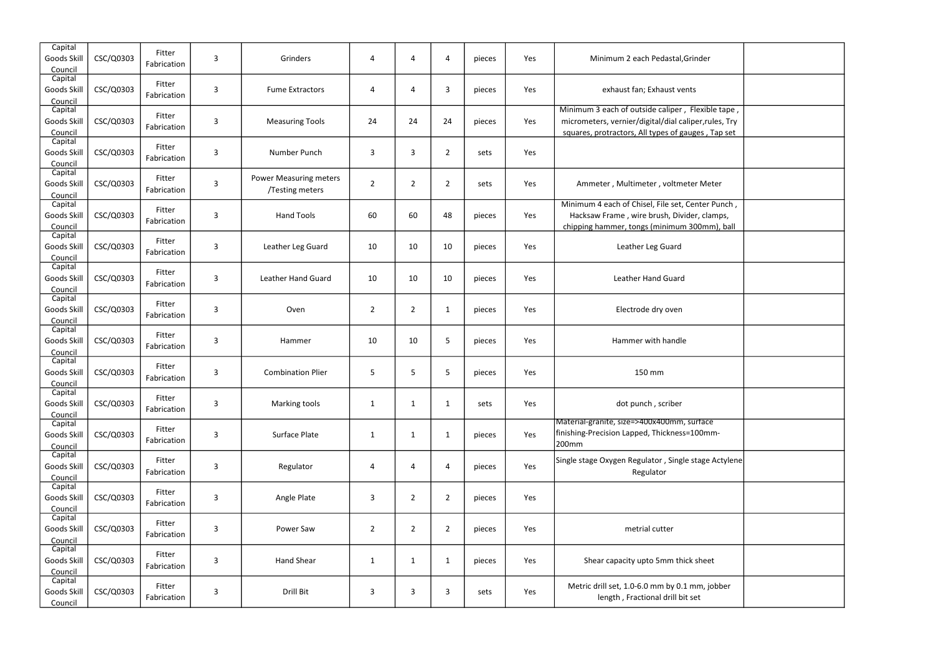| dastal, Grinder                                                              |  |
|------------------------------------------------------------------------------|--|
| aust vents                                                                   |  |
| aliper, Flexible tape,<br>/dial caliper, rules, Try<br>es of gauges, Tap set |  |
|                                                                              |  |
| voltmeter Meter                                                              |  |
| ile set, Center Punch,<br>sh, Divider, clamps,<br>nimum 300mm), ball         |  |
| Guard                                                                        |  |
| Guard                                                                        |  |
| oven                                                                         |  |
| handle                                                                       |  |
| ١                                                                            |  |
| criber                                                                       |  |
| 00mm, surtace<br>ickness=100mm-                                              |  |
| , Single stage Actylene<br>λr                                                |  |
|                                                                              |  |
| tter                                                                         |  |
| nm thick sheet                                                               |  |
| by 0.1 mm, jobber<br>drill bit set                                           |  |

| Capital<br>Goods Skill<br>Council | CSC/Q0303 | Fitter<br>Fabrication | 3            | Grinders                                         | 4              | 4              | 4              | pieces | Yes | Minimum 2 each Pedastal, Grinder                                                                                                                                 |  |
|-----------------------------------|-----------|-----------------------|--------------|--------------------------------------------------|----------------|----------------|----------------|--------|-----|------------------------------------------------------------------------------------------------------------------------------------------------------------------|--|
| Capital<br>Goods Skill<br>Council | CSC/Q0303 | Fitter<br>Fabrication | 3            | <b>Fume Extractors</b>                           | 4              | 4              | 3              | pieces | Yes | exhaust fan; Exhaust vents                                                                                                                                       |  |
| Capital<br>Goods Skill<br>Council | CSC/Q0303 | Fitter<br>Fabrication | 3            | <b>Measuring Tools</b>                           | 24             | 24             | 24             | pieces | Yes | Minimum 3 each of outside caliper, Flexible tape,<br>micrometers, vernier/digital/dial caliper, rules, Try<br>squares, protractors, All types of gauges, Tap set |  |
| Capital<br>Goods Skill<br>Council | CSC/Q0303 | Fitter<br>Fabrication | 3            | Number Punch                                     | 3              | 3              | $\overline{2}$ | sets   | Yes |                                                                                                                                                                  |  |
| Capital<br>Goods Skill<br>Council | CSC/Q0303 | Fitter<br>Fabrication | 3            | <b>Power Measuring meters</b><br>/Testing meters | $\overline{2}$ | $\overline{2}$ | $\overline{2}$ | sets   | Yes | Ammeter, Multimeter, voltmeter Meter                                                                                                                             |  |
| Capital<br>Goods Skill<br>Council | CSC/Q0303 | Fitter<br>Fabrication | 3            | <b>Hand Tools</b>                                | 60             | 60             | 48             | pieces | Yes | Minimum 4 each of Chisel, File set, Center Punch,<br>Hacksaw Frame, wire brush, Divider, clamps,<br>chipping hammer, tongs (minimum 300mm), ball                 |  |
| Capital<br>Goods Skill<br>Council | CSC/Q0303 | Fitter<br>Fabrication | 3            | Leather Leg Guard                                | 10             | 10             | 10             | pieces | Yes | Leather Leg Guard                                                                                                                                                |  |
| Capital<br>Goods Skill<br>Council | CSC/Q0303 | Fitter<br>Fabrication | 3            | <b>Leather Hand Guard</b>                        | 10             | 10             | 10             | pieces | Yes | Leather Hand Guard                                                                                                                                               |  |
| Capital<br>Goods Skill<br>Council | CSC/Q0303 | Fitter<br>Fabrication | 3            | Oven                                             | $\overline{2}$ | $\overline{2}$ | 1              | pieces | Yes | Electrode dry oven                                                                                                                                               |  |
| Capital<br>Goods Skill<br>Council | CSC/Q0303 | Fitter<br>Fabrication | 3            | Hammer                                           | 10             | 10             | 5              | pieces | Yes | Hammer with handle                                                                                                                                               |  |
| Capital<br>Goods Skill<br>Council | CSC/Q0303 | Fitter<br>Fabrication | 3            | <b>Combination Plier</b>                         | 5              | 5              | 5              | pieces | Yes | 150 mm                                                                                                                                                           |  |
| Capital<br>Goods Skill<br>Council | CSC/Q0303 | Fitter<br>Fabrication | 3            | Marking tools                                    | $\mathbf{1}$   | $\mathbf{1}$   | $\mathbf{1}$   | sets   | Yes | dot punch, scriber                                                                                                                                               |  |
| Capital<br>Goods Skill<br>Council | CSC/Q0303 | Fitter<br>Fabrication | $\mathsf{3}$ | Surface Plate                                    | $\mathbf{1}$   | $\mathbf{1}$   | $\mathbf{1}$   | pieces | Yes | Material-granite, size=>400x400mm, surface<br> finishing-Precision Lapped, Thickness=100mm-<br>200mm                                                             |  |
| Capital<br>Goods Skill<br>Council | CSC/Q0303 | Fitter<br>Fabrication | 3            | Regulator                                        | 4              | 4              | 4              | pieces | Yes | Single stage Oxygen Regulator, Single stage Actylene<br>Regulator                                                                                                |  |
| Capital<br>Goods Skill<br>Council | CSC/Q0303 | Fitter<br>Fabrication | 3            | Angle Plate                                      | 3              | $\overline{2}$ | $\overline{2}$ | pieces | Yes |                                                                                                                                                                  |  |
| Capital<br>Goods Skill<br>Council | CSC/Q0303 | Fitter<br>Fabrication | $\mathsf{3}$ | Power Saw                                        | $\overline{2}$ | $\overline{2}$ | $\overline{2}$ | pieces | Yes | metrial cutter                                                                                                                                                   |  |
| Capital<br>Goods Skill<br>Council | CSC/Q0303 | Fitter<br>Fabrication | 3            | <b>Hand Shear</b>                                | $\mathbf{1}$   | $\mathbf{1}$   | $\mathbf{1}$   | pieces | Yes | Shear capacity upto 5mm thick sheet                                                                                                                              |  |
| Capital<br>Goods Skill<br>Council | CSC/Q0303 | Fitter<br>Fabrication | 3            | Drill Bit                                        | 3              | 3              | 3              | sets   | Yes | Metric drill set, 1.0-6.0 mm by 0.1 mm, jobber<br>length, Fractional drill bit set                                                                               |  |